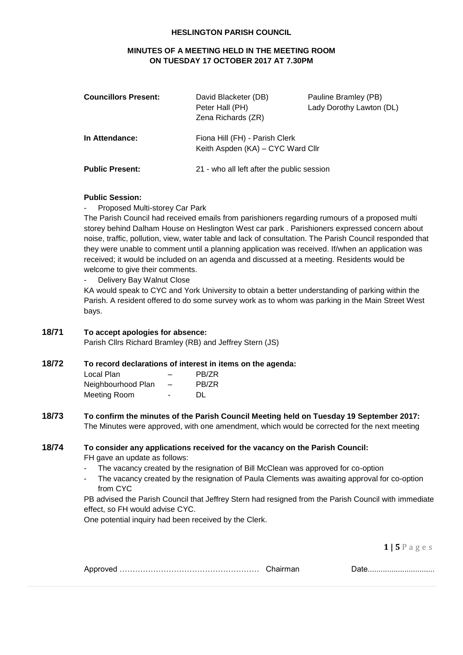#### **HESLINGTON PARISH COUNCIL**

# **MINUTES OF A MEETING HELD IN THE MEETING ROOM ON TUESDAY 17 OCTOBER 2017 AT 7.30PM**

| <b>Councillors Present:</b> | David Blacketer (DB)<br>Peter Hall (PH)<br>Zena Richards (ZR)       | Pauline Bramley (PB)<br>Lady Dorothy Lawton (DL) |
|-----------------------------|---------------------------------------------------------------------|--------------------------------------------------|
| In Attendance:              | Fiona Hill (FH) - Parish Clerk<br>Keith Aspden (KA) – CYC Ward Cllr |                                                  |
| <b>Public Present:</b>      | 21 - who all left after the public session                          |                                                  |

#### **Public Session:**

Proposed Multi-storey Car Park

The Parish Council had received emails from parishioners regarding rumours of a proposed multi storey behind Dalham House on Heslington West car park . Parishioners expressed concern about noise, traffic, pollution, view, water table and lack of consultation. The Parish Council responded that they were unable to comment until a planning application was received. If/when an application was received; it would be included on an agenda and discussed at a meeting. Residents would be welcome to give their comments.

Delivery Bay Walnut Close

KA would speak to CYC and York University to obtain a better understanding of parking within the Parish. A resident offered to do some survey work as to whom was parking in the Main Street West bays.

# **18/71 To accept apologies for absence:**

Parish Cllrs Richard Bramley (RB) and Jeffrey Stern (JS)

# **18/72 To record declarations of interest in items on the agenda:**

| Local Plan         |    | PB/ZR |
|--------------------|----|-------|
| Neighbourhood Plan | -  | PB/ZR |
| Meeting Room       | ۰. | DL.   |

#### **18/73 To confirm the minutes of the Parish Council Meeting held on Tuesday 19 September 2017:** The Minutes were approved, with one amendment, which would be corrected for the next meeting

#### **18/74 To consider any applications received for the vacancy on the Parish Council:**

FH gave an update as follows:

- The vacancy created by the resignation of Bill McClean was approved for co-option
- The vacancy created by the resignation of Paula Clements was awaiting approval for co-option from CYC

PB advised the Parish Council that Jeffrey Stern had resigned from the Parish Council with immediate effect, so FH would advise CYC.

One potential inquiry had been received by the Clerk.

**1 | 5** P a g e s

| Approved ……………………………………………………… |  |  |
|--------------------------------|--|--|
|--------------------------------|--|--|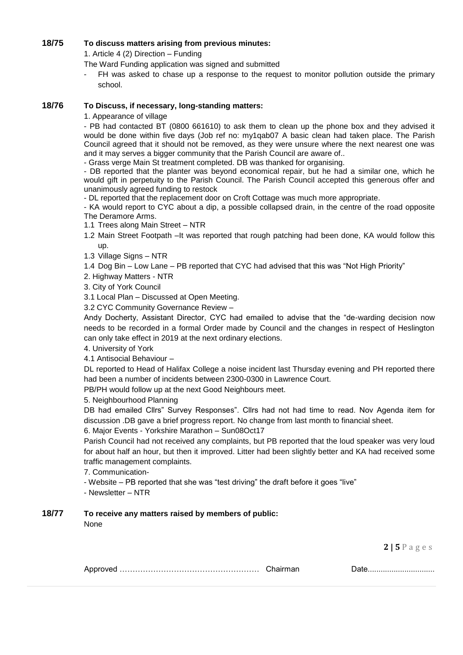## **18/75 To discuss matters arising from previous minutes:**

1. Article 4 (2) Direction – Funding

The Ward Funding application was signed and submitted

FH was asked to chase up a response to the request to monitor pollution outside the primary school.

#### **18/76 To Discuss, if necessary, long-standing matters:**

1. Appearance of village

- PB had contacted BT (0800 661610) to ask them to clean up the phone box and they advised it would be done within five days (Job ref no: my1qab07 A basic clean had taken place. The Parish Council agreed that it should not be removed, as they were unsure where the next nearest one was and it may serves a bigger community that the Parish Council are aware of..

- Grass verge Main St treatment completed. DB was thanked for organising.

- DB reported that the planter was beyond economical repair, but he had a similar one, which he would gift in perpetuity to the Parish Council. The Parish Council accepted this generous offer and unanimously agreed funding to restock

- DL reported that the replacement door on Croft Cottage was much more appropriate.

- KA would report to CYC about a dip, a possible collapsed drain, in the centre of the road opposite The Deramore Arms.

1.1 Trees along Main Street – NTR

- 1.2 Main Street Footpath –It was reported that rough patching had been done, KA would follow this up.
- 1.3 Village Signs NTR
- 1.4 Dog Bin Low Lane PB reported that CYC had advised that this was "Not High Priority"

2. Highway Matters - NTR

3. City of York Council

3.1 Local Plan – Discussed at Open Meeting.

3.2 CYC Community Governance Review –

Andy Docherty, Assistant Director, CYC had emailed to advise that the "de-warding decision now needs to be recorded in a formal Order made by Council and the changes in respect of Heslington can only take effect in 2019 at the next ordinary elections.

4. University of York

4.1 Antisocial Behaviour –

DL reported to Head of Halifax College a noise incident last Thursday evening and PH reported there had been a number of incidents between 2300-0300 in Lawrence Court.

PB/PH would follow up at the next Good Neighbours meet.

5. Neighbourhood Planning

DB had emailed Cllrs" Survey Responses". Cllrs had not had time to read. Nov Agenda item for discussion .DB gave a brief progress report. No change from last month to financial sheet.

6. Major Events - Yorkshire Marathon – Sun08Oct17

Parish Council had not received any complaints, but PB reported that the loud speaker was very loud for about half an hour, but then it improved. Litter had been slightly better and KA had received some traffic management complaints.

7. Communication-

- Website – PB reported that she was "test driving" the draft before it goes "live"

- Newsletter – NTR

#### **18/77 To receive any matters raised by members of public:**

None

**2 | 5** P a g e s

|--|--|--|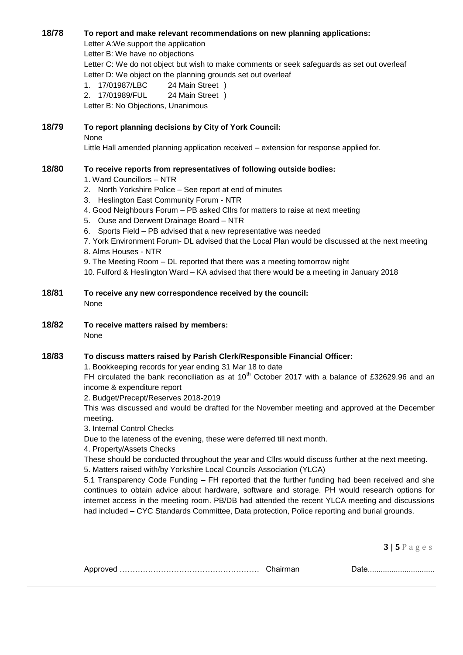## **18/78 To report and make relevant recommendations on new planning applications:**

Letter A:We support the application Letter B: We have no objections Letter C: We do not object but wish to make comments or seek safeguards as set out overleaf Letter D: We object on the planning grounds set out overleaf 1. 17/01987/LBC 24 Main Street ) 2. 17/01989/FUL 24 Main Street )

Letter B: No Objections, Unanimous

#### **18/79 To report planning decisions by City of York Council:** None Little Hall amended planning application received – extension for response applied for.

# **18/80 To receive reports from representatives of following outside bodies:**

- 1. Ward Councillors NTR
- 2. North Yorkshire Police See report at end of minutes
- 3. Heslington East Community Forum NTR
- 4. Good Neighbours Forum PB asked Cllrs for matters to raise at next meeting
- 5. Ouse and Derwent Drainage Board NTR
- 6. Sports Field PB advised that a new representative was needed

7. York Environment Forum- DL advised that the Local Plan would be discussed at the next meeting 8. Alms Houses - NTR

9. The Meeting Room – DL reported that there was a meeting tomorrow night

10. Fulford & Heslington Ward – KA advised that there would be a meeting in January 2018

# **18/81 To receive any new correspondence received by the council:** None

**18/82 To receive matters raised by members:** None

#### **18/83 To discuss matters raised by Parish Clerk/Responsible Financial Officer:**

1. Bookkeeping records for year ending 31 Mar 18 to date

FH circulated the bank reconciliation as at  $10^{th}$  October 2017 with a balance of £32629.96 and an income & expenditure report

2. Budget/Precept/Reserves 2018-2019

This was discussed and would be drafted for the November meeting and approved at the December meeting.

3. Internal Control Checks

Due to the lateness of the evening, these were deferred till next month.

4. Property/Assets Checks

These should be conducted throughout the year and Cllrs would discuss further at the next meeting.

5. Matters raised with/by Yorkshire Local Councils Association (YLCA)

5.1 Transparency Code Funding – FH reported that the further funding had been received and she continues to obtain advice about hardware, software and storage. PH would research options for internet access in the meeting room. PB/DB had attended the recent YLCA meeting and discussions had included – CYC Standards Committee, Data protection, Police reporting and burial grounds.

**3 | 5** P a g e s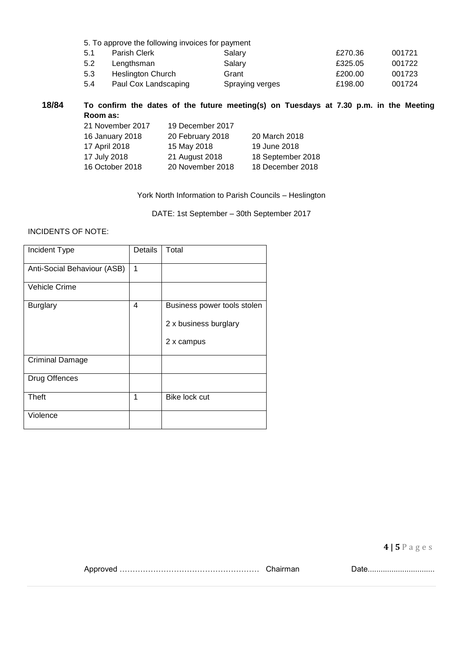| 5. To approve the following invoices for payment |                      |                 |         |        |
|--------------------------------------------------|----------------------|-----------------|---------|--------|
| 5.1                                              | Parish Clerk         | Salary          | £270.36 | 001721 |
| 5.2                                              | Lengthsman           | Salary          | £325.05 | 001722 |
| 5.3                                              | Heslington Church    | Grant           | £200.00 | 001723 |
| 5.4                                              | Paul Cox Landscaping | Spraying verges | £198.00 | 001724 |

**18/84 To confirm the dates of the future meeting(s) on Tuesdays at 7.30 p.m. in the Meeting Room as:**

| 21 November 2017 | 19 December 2017 |                   |
|------------------|------------------|-------------------|
| 16 January 2018  | 20 February 2018 | 20 March 2018     |
| 17 April 2018    | 15 May 2018      | 19 June 2018      |
| 17 July 2018     | 21 August 2018   | 18 September 2018 |
| 16 October 2018  | 20 November 2018 | 18 December 2018  |
|                  |                  |                   |

York North Information to Parish Councils – Heslington

DATE: 1st September – 30th September 2017

#### INCIDENTS OF NOTE:

| Incident Type               | Details | Total                       |
|-----------------------------|---------|-----------------------------|
| Anti-Social Behaviour (ASB) | 1       |                             |
| Vehicle Crime               |         |                             |
| <b>Burglary</b>             | 4       | Business power tools stolen |
|                             |         | 2 x business burglary       |
|                             |         | 2 x campus                  |
| <b>Criminal Damage</b>      |         |                             |
| Drug Offences               |         |                             |
| Theft                       | 1       | Bike lock cut               |
| Violence                    |         |                             |

**4 | 5** P a g e s

Approved ……………………………………………… Chairman Date...............................